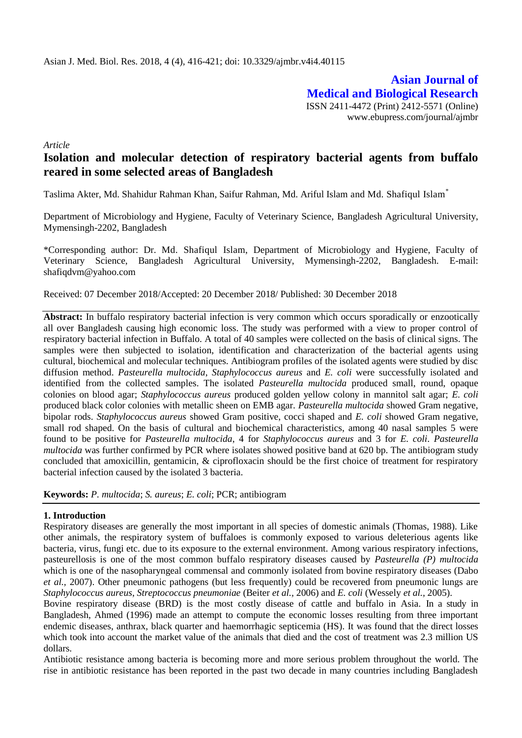**Asian Journal of Medical and Biological Research** ISSN 2411-4472 (Print) 2412-5571 (Online) www.ebupress.com/journal/ajmbr

*Article*

# **Isolation and molecular detection of respiratory bacterial agents from buffalo reared in some selected areas of Bangladesh**

Taslima Akter, Md. Shahidur Rahman Khan, Saifur Rahman, Md. Ariful Islam and Md. Shafiqul Islam\*

Department of Microbiology and Hygiene, Faculty of Veterinary Science, Bangladesh Agricultural University, Mymensingh-2202, Bangladesh

\*Corresponding author: Dr. Md. Shafiqul Islam, Department of Microbiology and Hygiene, Faculty of Veterinary Science, Bangladesh Agricultural University, Mymensingh-2202, Bangladesh. E-mail: shafiqdvm@yahoo.com

Received: 07 December 2018/Accepted: 20 December 2018/ Published: 30 December 2018

**Abstract:** In buffalo respiratory bacterial infection is very common which occurs sporadically or enzootically all over Bangladesh causing high economic loss. The study was performed with a view to proper control of respiratory bacterial infection in Buffalo. A total of 40 samples were collected on the basis of clinical signs. The samples were then subjected to isolation, identification and characterization of the bacterial agents using cultural, biochemical and molecular techniques. Antibiogram profiles of the isolated agents were studied by disc diffusion method. *Pasteurella multocida*, *Staphylococcus aureus* and *E. coli* were successfully isolated and identified from the collected samples. The isolated *Pasteurella multocida* produced small, round, opaque colonies on blood agar; *Staphylococcus aureus* produced golden yellow colony in mannitol salt agar; *E. coli* produced black color colonies with metallic sheen on EMB agar. *Pasteurella multocida* showed Gram negative, bipolar rods. *Staphylococcus aureus* showed Gram positive, cocci shaped and *E. coli* showed Gram negative, small rod shaped. On the basis of cultural and biochemical characteristics, among 40 nasal samples 5 were found to be positive for *Pasteurella multocida*, 4 for *Staphylococcus aureus* and 3 for *E. coli*. *Pasteurella multocida* was further confirmed by PCR where isolates showed positive band at 620 bp. The antibiogram study concluded that amoxicillin, gentamicin, & ciprofloxacin should be the first choice of treatment for respiratory bacterial infection caused by the isolated 3 bacteria.

**Keywords:** *P. multocida*; *S. aureus*; *E. coli*; PCR; antibiogram

### **1. Introduction**

Respiratory diseases are generally the most important in all species of domestic animals (Thomas, 1988). Like other animals, the respiratory system of buffaloes is commonly exposed to various deleterious agents like bacteria, virus, fungi etc. due to its exposure to the external environment. Among various respiratory infections, pasteurellosis is one of the most common buffalo respiratory diseases caused by *Pasteurella (P) multocida*  which is one of the nasopharyngeal commensal and commonly isolated from bovine respiratory diseases (Dabo *et al.,* 2007). Other pneumonic pathogens (but less frequently) could be recovered from pneumonic lungs are *Staphylococcus aureus*, *Streptococcus pneumoniae* (Beiter *et al.,* 2006) and *E. coli* (Wessely *et al.,* 2005).

Bovine respiratory disease (BRD) is the most costly disease of cattle and buffalo in Asia*.* In a study in Bangladesh, Ahmed (1996) made an attempt to compute the economic losses resulting from three important endemic diseases, anthrax, black quarter and haemorrhagic septicemia (HS). It was found that the direct losses which took into account the market value of the animals that died and the cost of treatment was 2.3 million US dollars.

Antibiotic resistance among bacteria is becoming more and more serious problem throughout the world. The rise in antibiotic resistance has been reported in the past two decade in many countries including Bangladesh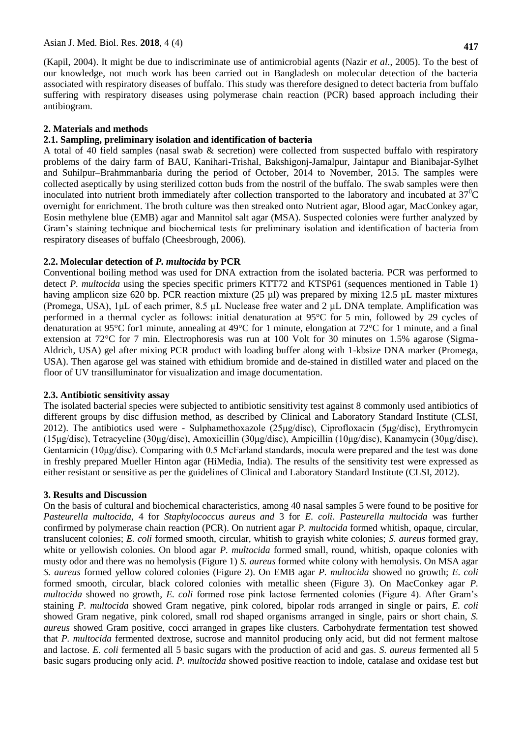(Kapil, 2004). It might be due to indiscriminate use of antimicrobial agents (Nazir *et al*., 2005). To the best of our knowledge, not much work has been carried out in Bangladesh on molecular detection of the bacteria associated with respiratory diseases of buffalo. This study was therefore designed to detect bacteria from buffalo suffering with respiratory diseases using polymerase chain reaction (PCR) based approach including their antibiogram.

### **2. Materials and methods**

## **2.1. Sampling, preliminary isolation and identification of bacteria**

A total of 40 field samples (nasal swab & secretion) were collected from suspected buffalo with respiratory problems of the dairy farm of BAU, Kanihari-Trishal, Bakshigonj-Jamalpur, Jaintapur and Bianibajar-Sylhet and Suhilpur–Brahmmanbaria during the period of October, 2014 to November, 2015. The samples were collected aseptically by using sterilized cotton buds from the nostril of the buffalo. The swab samples were then inoculated into nutrient broth immediately after collection transported to the laboratory and incubated at  $37^{\circ}$ C overnight for enrichment. The broth culture was then streaked onto Nutrient agar, Blood agar, MacConkey agar, Eosin methylene blue (EMB) agar and Mannitol salt agar (MSA). Suspected colonies were further analyzed by Gram's staining technique and biochemical tests for preliminary isolation and identification of bacteria from respiratory diseases of buffalo (Cheesbrough, 2006).

## **2.2. Molecular detection of** *P. multocida* **by PCR**

Conventional boiling method was used for DNA extraction from the isolated bacteria. PCR was performed to detect *P. multocida* using the species specific primers KTT72 and KTSP61 (sequences mentioned in Table 1) having amplicon size 620 bp. PCR reaction mixture (25 ul) was prepared by mixing 12.5 uL master mixtures (Promega, USA), 1μL of each primer, 8.5 µL Nuclease free water and 2 µL DNA template. Amplification was performed in a thermal cycler as follows: initial denaturation at 95°C for 5 min, followed by 29 cycles of denaturation at 95°C for1 minute, annealing at 49°C for 1 minute, elongation at 72°C for 1 minute, and a final extension at 72°C for 7 min. Electrophoresis was run at 100 Volt for 30 minutes on 1.5% agarose (Sigma-Aldrich, USA) gel after mixing PCR product with loading buffer along with 1-kbsize DNA marker (Promega, USA). Then agarose gel was stained with ethidium bromide and de-stained in distilled water and placed on the floor of UV transilluminator for visualization and image documentation.

### **2.3. Antibiotic sensitivity assay**

The isolated bacterial species were subjected to antibiotic sensitivity test against 8 commonly used antibiotics of different groups by disc diffusion method, as described by Clinical and Laboratory Standard Institute (CLSI, 2012). The antibiotics used were - Sulphamethoxazole (25μg/disc), Ciprofloxacin (5μg/disc), Erythromycin (15μg/disc), Tetracycline (30μg/disc), Amoxicillin (30μg/disc), Ampicillin (10μg/disc), Kanamycin (30μg/disc), Gentamicin (10μg/disc). Comparing with 0.5 McFarland standards, inocula were prepared and the test was done in freshly prepared Mueller Hinton agar (HiMedia, India). The results of the sensitivity test were expressed as either resistant or sensitive as per the guidelines of Clinical and Laboratory Standard Institute (CLSI, 2012).

# **3. Results and Discussion**

On the basis of cultural and biochemical characteristics, among 40 nasal samples 5 were found to be positive for *Pasteurella multocida,* 4 for *Staphylococcus aureus and* 3 for *E. coli*. *Pasteurella multocida* was further confirmed by polymerase chain reaction (PCR). On nutrient agar *P. multocida* formed whitish, opaque, circular, translucent colonies; *E. coli* formed smooth, circular, whitish to grayish white colonies; *S. aureus* formed gray, white or yellowish colonies. On blood agar *P. multocida* formed small, round, whitish, opaque colonies with musty odor and there was no hemolysis (Figure 1) *S. aureus* formed white colony with hemolysis. On MSA agar *S. aureus* formed yellow colored colonies (Figure 2). On EMB agar *P. multocida* showed no growth; *E. coli* formed smooth, circular, black colored colonies with metallic sheen (Figure 3). On MacConkey agar *P. multocida* showed no growth, *E. coli* formed rose pink lactose fermented colonies (Figure 4). After Gram's staining *P. multocida* showed Gram negative, pink colored, bipolar rods arranged in single or pairs, *E. coli* showed Gram negative, pink colored, small rod shaped organisms arranged in single, pairs or short chain, *S. aureus* showed Gram positive, cocci arranged in grapes like clusters. Carbohydrate fermentation test showed that *P. multocida* fermented dextrose, sucrose and mannitol producing only acid, but did not ferment maltose and lactose. *E. coli* fermented all 5 basic sugars with the production of acid and gas. *S. aureus* fermented all 5 basic sugars producing only acid. *P. multocida* showed positive reaction to indole, catalase and oxidase test but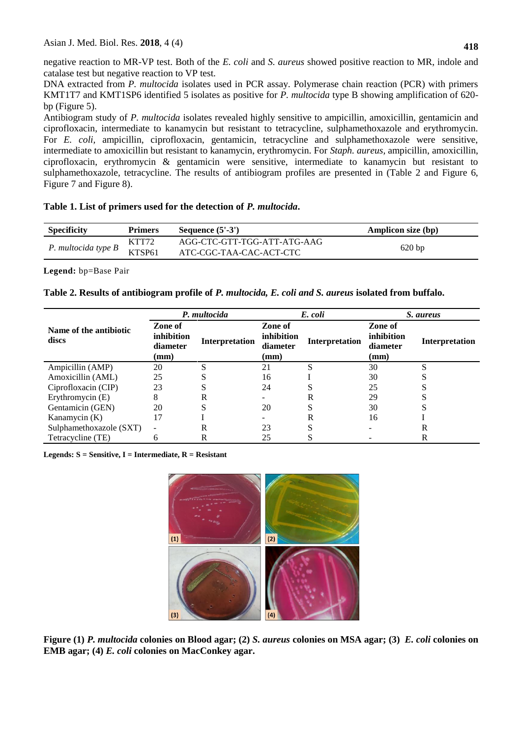negative reaction to MR-VP test. Both of the *E. coli* and *S. aureus* showed positive reaction to MR, indole and catalase test but negative reaction to VP test.

DNA extracted from *P. multocida* isolates used in PCR assay. Polymerase chain reaction (PCR) with primers KMT1T7 and KMT1SP6 identified 5 isolates as positive for *P. multocida* type B showing amplification of 620 bp (Figure 5).

Antibiogram study of *P. multocida* isolates revealed highly sensitive to ampicillin, amoxicillin, gentamicin and ciprofloxacin, intermediate to kanamycin but resistant to tetracycline, sulphamethoxazole and erythromycin. For *E. coli,* ampicillin, ciprofloxacin, gentamicin, tetracycline and sulphamethoxazole were sensitive, intermediate to amoxicillin but resistant to kanamycin, erythromycin. For *Staph. aureus,* ampicillin, amoxicillin, ciprofloxacin, erythromycin & gentamicin were sensitive, intermediate to kanamycin but resistant to sulphamethoxazole, tetracycline. The results of antibiogram profiles are presented in (Table 2 and Figure 6, Figure 7 and Figure 8).

## **Table 1. List of primers used for the detection of** *P. multocida***.**

| <b>Specificity</b>  | <b>Primers</b><br>Sequence $(5'-3')$ |                             | Amplicon size (bp) |
|---------------------|--------------------------------------|-----------------------------|--------------------|
| P. multocida type B | KTT72                                | AGG-CTC-GTT-TGG-ATT-ATG-AAG |                    |
|                     | KTSP61                               | ATC-CGC-TAA-CAC-ACT-CTC     | 620bp              |

**Legend:** bp=Base Pair

|  | Table 2. Results of antibiogram profile of P. multocida, E. coli and S. aureus isolated from buffalo. |  |  |  |  |
|--|-------------------------------------------------------------------------------------------------------|--|--|--|--|
|  |                                                                                                       |  |  |  |  |

|                                 | P. multocida                              |                | E. coli                                   |                | S. aureus                                 |                |
|---------------------------------|-------------------------------------------|----------------|-------------------------------------------|----------------|-------------------------------------------|----------------|
| Name of the antibiotic<br>discs | Zone of<br>inhibition<br>diameter<br>(mm) | Interpretation | Zone of<br>inhibition<br>diameter<br>(mm) | Interpretation | Zone of<br>inhibition<br>diameter<br>(mm) | Interpretation |
| Ampicillin (AMP)                | 20                                        |                | 21                                        | S              | 30                                        | c              |
| Amoxicillin (AML)               | 25                                        |                | 16                                        |                | 30                                        |                |
| Ciprofloxacin (CIP)             | 23                                        |                | 24                                        |                | 25                                        |                |
| Erythromycin (E)                |                                           | R              |                                           | R              | 29                                        |                |
| Gentamicin (GEN)                | 20                                        |                | 20                                        |                | 30                                        |                |
| Kanamycin $(K)$                 |                                           |                |                                           | R              | 16                                        |                |
| Sulphamethoxazole (SXT)         | $\overline{\phantom{a}}$                  | R              | 23                                        |                |                                           | R              |
| Tetracycline (TE)               | b                                         | R              | 25                                        | C              |                                           | R              |

**Legends: S = Sensitive, I = Intermediate, R = Resistant**



**Figure (1)** *P. multocida* **colonies on Blood agar; (2)** *S. aureus* **colonies on MSA agar; (3)** *E. coli* **colonies on EMB agar; (4)** *E. coli* **colonies on MacConkey agar.**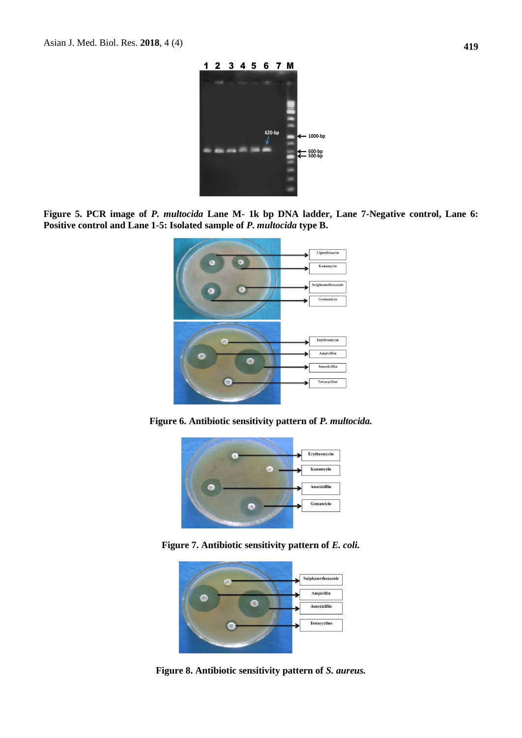

**Figure 5. PCR image of** *P. multocida* **Lane M- 1k bp DNA ladder, Lane 7-Negative control, Lane 6: Positive control and Lane 1-5: Isolated sample of** *P. multocida* **type B.**



**Figure 6. Antibiotic sensitivity pattern of** *P. multocida.*



**Figure 7. Antibiotic sensitivity pattern of** *E. coli.*



**Figure 8. Antibiotic sensitivity pattern of** *S. aureus.*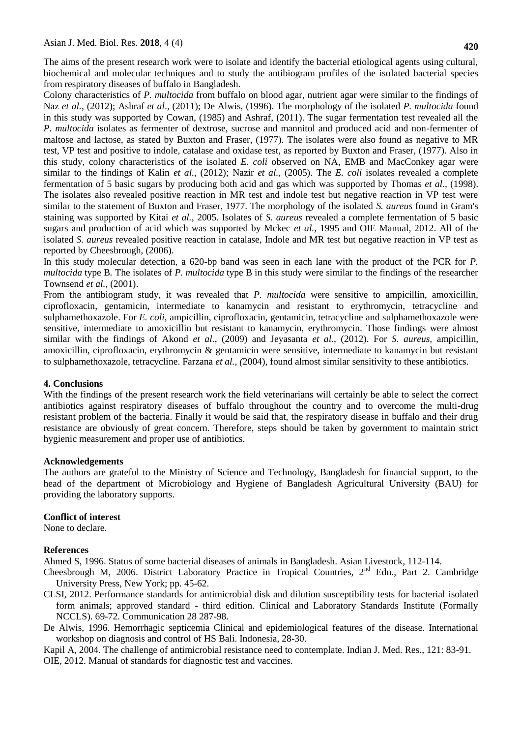The aims of the present research work were to isolate and identify the bacterial etiological agents using cultural, biochemical and molecular techniques and to study the antibiogram profiles of the isolated bacterial species from respiratory diseases of buffalo in Bangladesh.

Colony characteristics of *P. multocida* from buffalo on blood agar, nutrient agar were similar to the findings of Naz *et al.*, (2012); Ashraf *et al*., (2011); De Alwis, (1996). The morphology of the isolated *P. multocida* found in this study was supported by Cowan, (1985) and Ashraf, (2011). The sugar fermentation test revealed all the *P. multocida* isolates as fermenter of dextrose, sucrose and mannitol and produced acid and non-fermenter of maltose and lactose, as stated by Buxton and Fraser, (1977). The isolates were also found as negative to MR test, VP test and positive to indole, catalase and oxidase test, as reported by Buxton and Fraser, (1977). Also in this study, colony characteristics of the isolated *E. coli* observed on NA, EMB and MacConkey agar were similar to the findings of Kalin *et al.*, (2012); Nazir *et al.*, (2005). The *E. coli* isolates revealed a complete fermentation of 5 basic sugars by producing both acid and gas which was supported by Thomas *et al.*, (1998). The isolates also revealed positive reaction in MR test and indole test but negative reaction in VP test were similar to the statement of Buxton and Fraser, 1977. The morphology of the isolated *S. aureus* found in Gram's staining was supported by Kitai *et al.*, 2005. Isolates of *S. aureus* revealed a complete fermentation of 5 basic sugars and production of acid which was supported by Mckec *et al.,* 1995 and OIE Manual, 2012. All of the isolated *S. aureus* revealed positive reaction in catalase, Indole and MR test but negative reaction in VP test as reported by Cheesbrough, (2006).

In this study molecular detection, a 620-bp band was seen in each lane with the product of the PCR for *P. multocida* type B*.* The isolates of *P. multocida* type B in this study were similar to the findings of the researcher Townsend *et al.,* (2001).

From the antibiogram study, it was revealed that *P. multocida* were sensitive to ampicillin, amoxicillin, ciprofloxacin, gentamicin, intermediate to kanamycin and resistant to erythromycin, tetracycline and sulphamethoxazole. For *E. coli,* ampicillin, ciprofloxacin, gentamicin, tetracycline and sulphamethoxazole were sensitive, intermediate to amoxicillin but resistant to kanamycin, erythromycin. Those findings were almost similar with the findings of Akond *et al*., (2009) and Jeyasanta *et al*., (2012). For *S. aureus,* ampicillin, amoxicillin, ciprofloxacin, erythromycin & gentamicin were sensitive, intermediate to kanamycin but resistant to sulphamethoxazole, tetracycline. Farzana *et al., (*2004), found almost similar sensitivity to these antibiotics.

#### **4. Conclusions**

With the findings of the present research work the field veterinarians will certainly be able to select the correct antibiotics against respiratory diseases of buffalo throughout the country and to overcome the multi-drug resistant problem of the bacteria. Finally it would be said that, the respiratory disease in buffalo and their drug resistance are obviously of great concern. Therefore, steps should be taken by government to maintain strict hygienic measurement and proper use of antibiotics.

#### **Acknowledgements**

The authors are grateful to the Ministry of Science and Technology, Bangladesh for financial support, to the head of the department of Microbiology and Hygiene of Bangladesh Agricultural University (BAU) for providing the laboratory supports.

### **Conflict of interest**

None to declare.

### **References**

Ahmed S, 1996. Status of some bacterial diseases of animals in Bangladesh. Asian Livestock*,* 112-114.

- Cheesbrough M, 2006. District Laboratory Practice in Tropical Countries, 2<sup>nd</sup> Edn., Part 2. Cambridge University Press, New York; pp. 45-62.
- CLSI, 2012. Performance standards for antimicrobial disk and dilution susceptibility tests for bacterial isolated form animals; approved standard - third edition. Clinical and Laboratory Standards Institute (Formally NCCLS). 69-72. Communication 28 287-98.
- De Alwis, 1996. Hemorrhagic septicemia Clinical and epidemiological features of the disease. International workshop on diagnosis and control of HS Bali. Indonesia, 28-30.

Kapil A, 2004. The challenge of antimicrobial resistance need to contemplate. Indian J. Med. Res., 121: 83-91. OIE, 2012. Manual of standards for diagnostic test and vaccines.